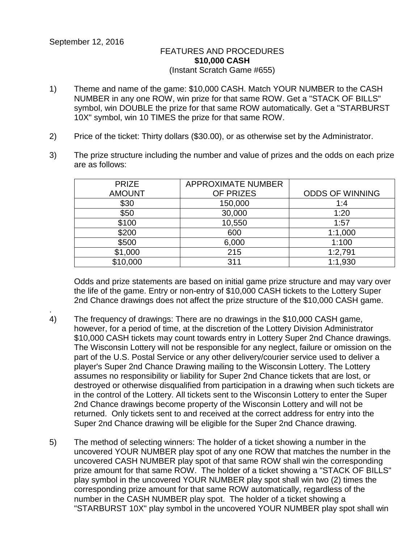## FEATURES AND PROCEDURES **\$10,000 CASH** (Instant Scratch Game #655)

- 1) Theme and name of the game: \$10,000 CASH. Match YOUR NUMBER to the CASH NUMBER in any one ROW, win prize for that same ROW. Get a "STACK OF BILLS" symbol, win DOUBLE the prize for that same ROW automatically. Get a "STARBURST 10X" symbol, win 10 TIMES the prize for that same ROW.
- 2) Price of the ticket: Thirty dollars (\$30.00), or as otherwise set by the Administrator.
- 3) The prize structure including the number and value of prizes and the odds on each prize are as follows:

| <b>PRIZE</b><br><b>AMOUNT</b> | <b>APPROXIMATE NUMBER</b><br>OF PRIZES | <b>ODDS OF WINNING</b> |
|-------------------------------|----------------------------------------|------------------------|
| \$30                          | 150,000                                | 1:4                    |
| \$50                          | 30,000                                 | 1:20                   |
| \$100                         | 10,550                                 | 1:57                   |
| \$200                         | 600                                    | 1:1,000                |
| \$500                         | 6,000                                  | 1:100                  |
| \$1,000                       | 215                                    | 1:2,791                |
| \$10,000                      | 311                                    | 1:1,930                |

Odds and prize statements are based on initial game prize structure and may vary over the life of the game. Entry or non-entry of \$10,000 CASH tickets to the Lottery Super 2nd Chance drawings does not affect the prize structure of the \$10,000 CASH game.

- . 4) The frequency of drawings: There are no drawings in the \$10,000 CASH game, however, for a period of time, at the discretion of the Lottery Division Administrator \$10,000 CASH tickets may count towards entry in Lottery Super 2nd Chance drawings. The Wisconsin Lottery will not be responsible for any neglect, failure or omission on the part of the U.S. Postal Service or any other delivery/courier service used to deliver a player's Super 2nd Chance Drawing mailing to the Wisconsin Lottery. The Lottery assumes no responsibility or liability for Super 2nd Chance tickets that are lost, or destroyed or otherwise disqualified from participation in a drawing when such tickets are in the control of the Lottery. All tickets sent to the Wisconsin Lottery to enter the Super 2nd Chance drawings become property of the Wisconsin Lottery and will not be returned. Only tickets sent to and received at the correct address for entry into the Super 2nd Chance drawing will be eligible for the Super 2nd Chance drawing.
- 5) The method of selecting winners: The holder of a ticket showing a number in the uncovered YOUR NUMBER play spot of any one ROW that matches the number in the uncovered CASH NUMBER play spot of that same ROW shall win the corresponding prize amount for that same ROW. The holder of a ticket showing a "STACK OF BILLS" play symbol in the uncovered YOUR NUMBER play spot shall win two (2) times the corresponding prize amount for that same ROW automatically, regardless of the number in the CASH NUMBER play spot. The holder of a ticket showing a "STARBURST 10X" play symbol in the uncovered YOUR NUMBER play spot shall win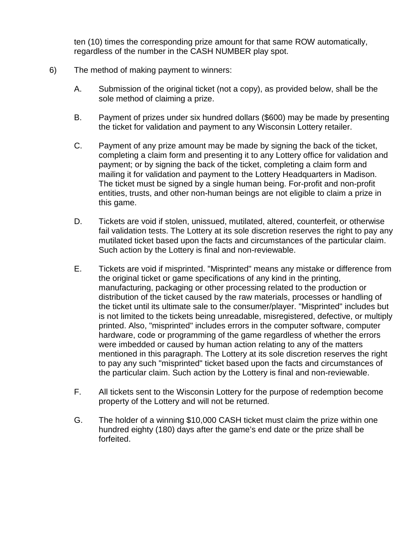ten (10) times the corresponding prize amount for that same ROW automatically, regardless of the number in the CASH NUMBER play spot.

- 6) The method of making payment to winners:
	- A. Submission of the original ticket (not a copy), as provided below, shall be the sole method of claiming a prize.
	- B. Payment of prizes under six hundred dollars (\$600) may be made by presenting the ticket for validation and payment to any Wisconsin Lottery retailer.
	- C. Payment of any prize amount may be made by signing the back of the ticket, completing a claim form and presenting it to any Lottery office for validation and payment; or by signing the back of the ticket, completing a claim form and mailing it for validation and payment to the Lottery Headquarters in Madison. The ticket must be signed by a single human being. For-profit and non-profit entities, trusts, and other non-human beings are not eligible to claim a prize in this game.
	- D. Tickets are void if stolen, unissued, mutilated, altered, counterfeit, or otherwise fail validation tests. The Lottery at its sole discretion reserves the right to pay any mutilated ticket based upon the facts and circumstances of the particular claim. Such action by the Lottery is final and non-reviewable.
	- E. Tickets are void if misprinted. "Misprinted" means any mistake or difference from the original ticket or game specifications of any kind in the printing, manufacturing, packaging or other processing related to the production or distribution of the ticket caused by the raw materials, processes or handling of the ticket until its ultimate sale to the consumer/player. "Misprinted" includes but is not limited to the tickets being unreadable, misregistered, defective, or multiply printed. Also, "misprinted" includes errors in the computer software, computer hardware, code or programming of the game regardless of whether the errors were imbedded or caused by human action relating to any of the matters mentioned in this paragraph. The Lottery at its sole discretion reserves the right to pay any such "misprinted" ticket based upon the facts and circumstances of the particular claim. Such action by the Lottery is final and non-reviewable.
	- F. All tickets sent to the Wisconsin Lottery for the purpose of redemption become property of the Lottery and will not be returned.
	- G. The holder of a winning \$10,000 CASH ticket must claim the prize within one hundred eighty (180) days after the game's end date or the prize shall be forfeited.